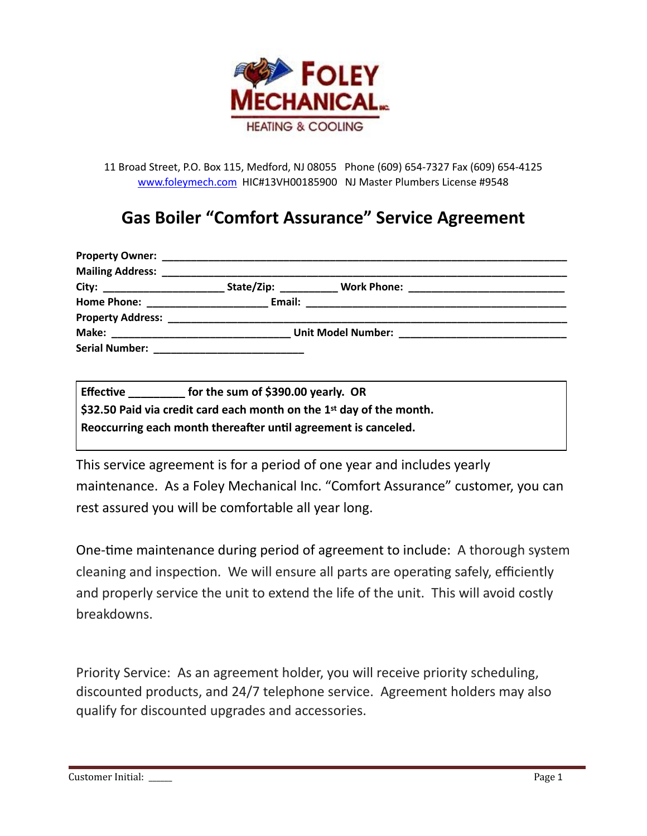

11 Broad Street, P.O. Box 115, Medford, NJ 08055 Phone (609) 654-7327 Fax (609) 654-4125 [www.foleymech.com](http://www.foleymech.com) HIC#13VH00185900 NJ Master Plumbers License #9548

### **Gas Boiler "Comfort Assurance" Service Agreement**

| <b>Mailing Address:</b>                              |                        |                                            |  |
|------------------------------------------------------|------------------------|--------------------------------------------|--|
|                                                      | State/Zip: ___________ | Work Phone: ______________________________ |  |
| Home Phone: _________________________________ Email: |                        |                                            |  |
|                                                      |                        |                                            |  |
| Make:                                                |                        |                                            |  |
|                                                      |                        |                                            |  |

| <b>Effective</b>                                                     | for the sum of \$390.00 yearly. OR |  |  |  |
|----------------------------------------------------------------------|------------------------------------|--|--|--|
| \$32.50 Paid via credit card each month on the 1st day of the month. |                                    |  |  |  |
| Reoccurring each month thereafter until agreement is canceled.       |                                    |  |  |  |

This service agreement is for a period of one year and includes yearly maintenance. As a Foley Mechanical Inc. "Comfort Assurance" customer, you can rest assured you will be comfortable all year long.

One-time maintenance during period of agreement to include: A thorough system cleaning and inspection. We will ensure all parts are operating safely, efficiently and properly service the unit to extend the life of the unit. This will avoid costly breakdowns.

Priority Service: As an agreement holder, you will receive priority scheduling, discounted products, and 24/7 telephone service. Agreement holders may also qualify for discounted upgrades and accessories.

Customer Initial: \_\_\_\_\_\_ Page 1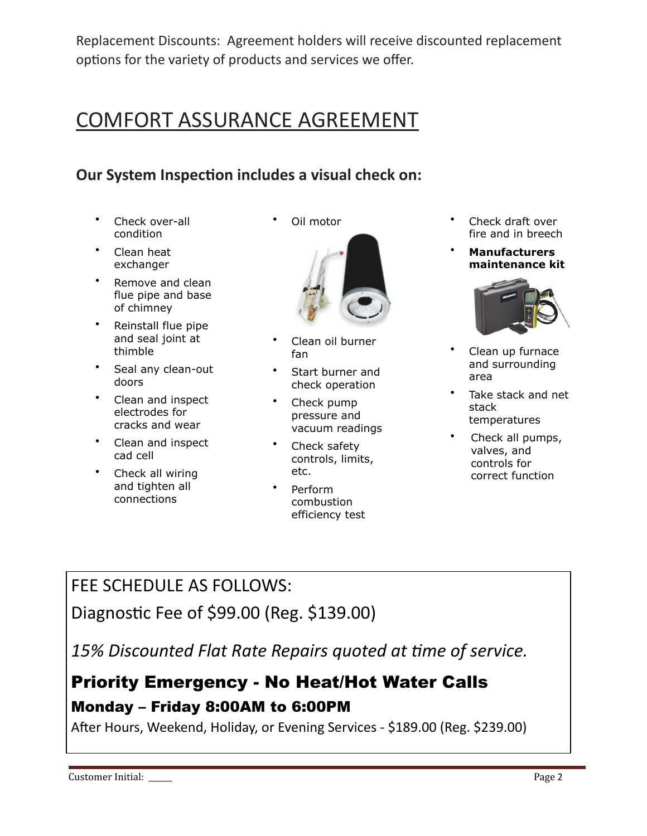Replacement Discounts: Agreement holders will receive discounted replacement options for the variety of products and services we offer.

# COMFORT ASSURANCE AGREEMENT

### **Our System Inspection includes a visual check on:**

- Check over-all condition
- Clean heat exchanger
- Remove and clean flue pipe and base of chimney
- Reinstall flue pipe and seal joint at thimble
- Seal any clean-out doors
- Clean and inspect electrodes for cracks and wear
- Clean and inspect cad cell
- Check all wiring and tighten all connections

Oil motor



- Clean oil burner fan
- Start burner and check operation
- Check pump pressure and vacuum readings
- Check safety controls, limits, etc.
- Perform combustion efficiency test
- Check draft over fire and in breech
- **Manufacturers maintenance kit**



- Clean up furnace and surrounding area
- Take stack and net stack temperatures
- Check all pumps, valves, and controls for correct function

### FEE SCHEDULE AS FOLLOWS:

Diagnostic Fee of \$99.00 (Reg. \$139.00)

15% Discounted Flat Rate Repairs quoted at time of service.

## Priority Emergency - No Heat/Hot Water Calls Monday – Friday 8:00AM to 6:00PM

After Hours, Weekend, Holiday, or Evening Services - \$189.00 (Reg. \$239.00)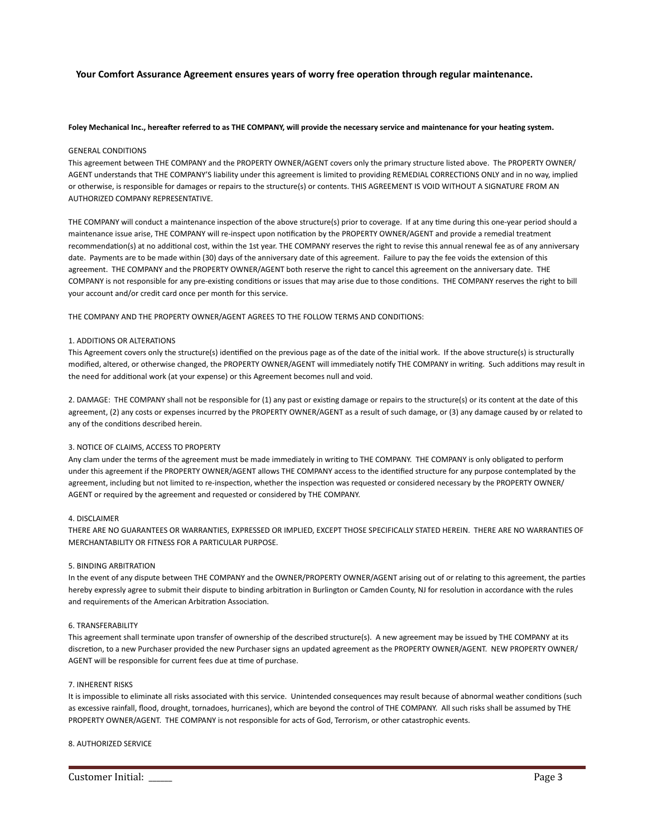#### Your Comfort Assurance Agreement ensures years of worry free operation through regular maintenance.

#### Foley Mechanical Inc., hereafter referred to as THE COMPANY, will provide the necessary service and maintenance for your heating system.

#### GENERAL CONDITIONS

This agreement between THE COMPANY and the PROPERTY OWNER/AGENT covers only the primary structure listed above. The PROPERTY OWNER/ AGENT understands that THE COMPANY'S liability under this agreement is limited to providing REMEDIAL CORRECTIONS ONLY and in no way, implied or otherwise, is responsible for damages or repairs to the structure(s) or contents. THIS AGREEMENT IS VOID WITHOUT A SIGNATURE FROM AN AUTHORIZED COMPANY REPRESENTATIVE.

THE COMPANY will conduct a maintenance inspection of the above structure(s) prior to coverage. If at any time during this one-year period should a maintenance issue arise, THE COMPANY will re-inspect upon notification by the PROPERTY OWNER/AGENT and provide a remedial treatment recommendation(s) at no additional cost, within the 1st year. THE COMPANY reserves the right to revise this annual renewal fee as of any anniversary date. Payments are to be made within (30) days of the anniversary date of this agreement. Failure to pay the fee voids the extension of this agreement. THE COMPANY and the PROPERTY OWNER/AGENT both reserve the right to cancel this agreement on the anniversary date. THE COMPANY is not responsible for any pre-existing conditions or issues that may arise due to those conditions. THE COMPANY reserves the right to bill your account and/or credit card once per month for this service.

THE COMPANY AND THE PROPERTY OWNER/AGENT AGREES TO THE FOLLOW TERMS AND CONDITIONS:

#### 1. ADDITIONS OR ALTERATIONS

This Agreement covers only the structure(s) identified on the previous page as of the date of the initial work. If the above structure(s) is structurally modified, altered, or otherwise changed, the PROPERTY OWNER/AGENT will immediately notify THE COMPANY in writing. Such additions may result in the need for additional work (at your expense) or this Agreement becomes null and void.

2. DAMAGE: THE COMPANY shall not be responsible for (1) any past or existing damage or repairs to the structure(s) or its content at the date of this agreement, (2) any costs or expenses incurred by the PROPERTY OWNER/AGENT as a result of such damage, or (3) any damage caused by or related to any of the conditions described herein.

#### 3. NOTICE OF CLAIMS, ACCESS TO PROPERTY

Any clam under the terms of the agreement must be made immediately in writing to THE COMPANY. THE COMPANY is only obligated to perform under this agreement if the PROPERTY OWNER/AGENT allows THE COMPANY access to the identified structure for any purpose contemplated by the agreement, including but not limited to re-inspection, whether the inspection was requested or considered necessary by the PROPERTY OWNER/ AGENT or required by the agreement and requested or considered by THE COMPANY.

#### 4. DISCLAIMER

THERE ARE NO GUARANTEES OR WARRANTIES, EXPRESSED OR IMPLIED, EXCEPT THOSE SPECIFICALLY STATED HEREIN. THERE ARE NO WARRANTIES OF MERCHANTABILITY OR FITNESS FOR A PARTICULAR PURPOSE.

#### 5. BINDING ARBITRATION

In the event of any dispute between THE COMPANY and the OWNER/PROPERTY OWNER/AGENT arising out of or relating to this agreement, the parties hereby expressly agree to submit their dispute to binding arbitration in Burlington or Camden County, NJ for resolution in accordance with the rules and requirements of the American Arbitration Association.

#### 6. TRANSFERABILITY

This agreement shall terminate upon transfer of ownership of the described structure(s). A new agreement may be issued by THE COMPANY at its discretion, to a new Purchaser provided the new Purchaser signs an updated agreement as the PROPERTY OWNER/AGENT. NEW PROPERTY OWNER/ AGENT will be responsible for current fees due at time of purchase.

#### 7. INHERENT RISKS

It is impossible to eliminate all risks associated with this service. Unintended consequences may result because of abnormal weather conditions (such as excessive rainfall, flood, drought, tornadoes, hurricanes), which are beyond the control of THE COMPANY. All such risks shall be assumed by THE PROPERTY OWNER/AGENT. THE COMPANY is not responsible for acts of God, Terrorism, or other catastrophic events.

#### 8. AUTHORIZED SERVICE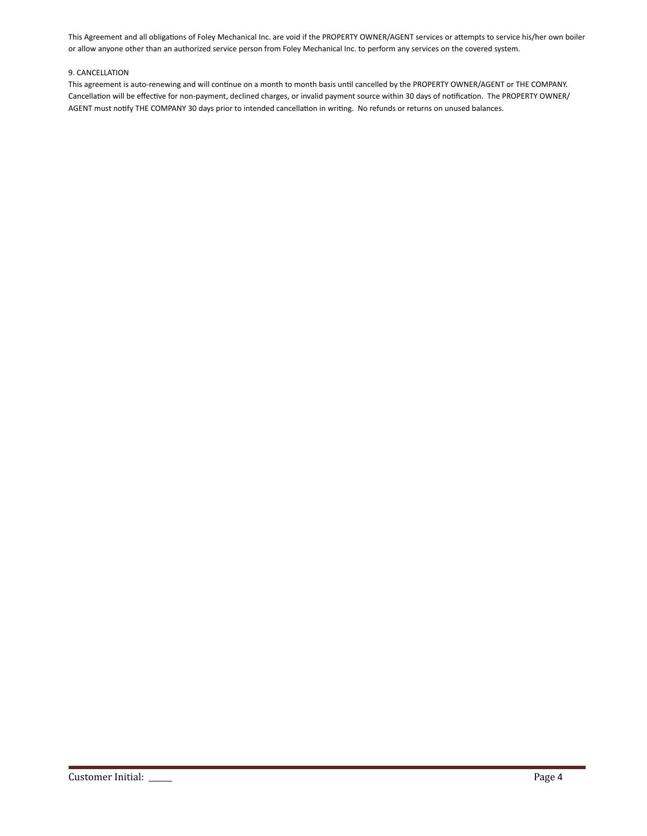This Agreement and all obligations of Foley Mechanical Inc. are void if the PROPERTY OWNER/AGENT services or attempts to service his/her own boiler or allow anyone other than an authorized service person from Foley Mechanical Inc. to perform any services on the covered system.

#### 9. CANCELLATION

This agreement is auto-renewing and will continue on a month to month basis until cancelled by the PROPERTY OWNER/AGENT or THE COMPANY. Cancellation will be effective for non-payment, declined charges, or invalid payment source within 30 days of notification. The PROPERTY OWNER/ AGENT must notify THE COMPANY 30 days prior to intended cancellation in writing. No refunds or returns on unused balances.